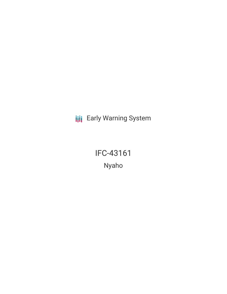**III** Early Warning System

IFC-43161 Nyaho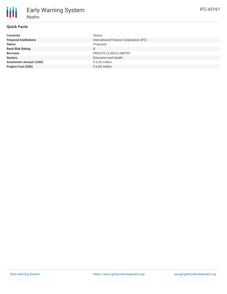## **Quick Facts**

| <b>Countries</b>               | Ghana                                   |
|--------------------------------|-----------------------------------------|
| <b>Financial Institutions</b>  | International Finance Corporation (IFC) |
| <b>Status</b>                  | Proposed                                |
| <b>Bank Risk Rating</b>        | B                                       |
| <b>Borrower</b>                | PRIVATE CLINICS LIMITED                 |
| <b>Sectors</b>                 | <b>Education and Health</b>             |
| <b>Investment Amount (USD)</b> | \$6.00 million                          |
| <b>Project Cost (USD)</b>      | $$6.00$ million                         |
|                                |                                         |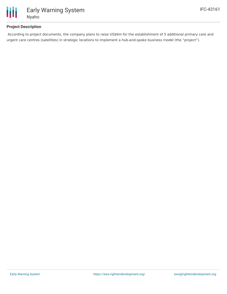

# **Project Description**

According to project documents, the company plans to raise US\$6m for the establishment of 5 additional primary care and urgent care centres (satellites) in strategic locations to implement a hub-and-spoke business model (the "project").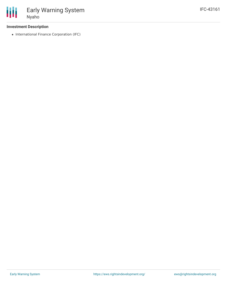

## **Investment Description**

• International Finance Corporation (IFC)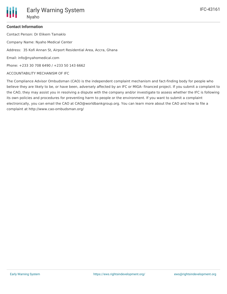## **Contact Information**

Contact Person: Dr Elikem Tamaklo

Company Name: Nyaho Medical Center

Address: 35 Kofi Annan St, Airport Residential Area, Accra, Ghana

Email: info@nyahomedical.com

Phone: +233 30 708 6490 / +233 50 143 6662

### ACCOUNTABILITY MECHANISM OF IFC

The Compliance Advisor Ombudsman (CAO) is the independent complaint mechanism and fact-finding body for people who believe they are likely to be, or have been, adversely affected by an IFC or MIGA- financed project. If you submit a complaint to the CAO, they may assist you in resolving a dispute with the company and/or investigate to assess whether the IFC is following its own policies and procedures for preventing harm to people or the environment. If you want to submit a complaint electronically, you can email the CAO at CAO@worldbankgroup.org. You can learn more about the CAO and how to file a complaint at http://www.cao-ombudsman.org/